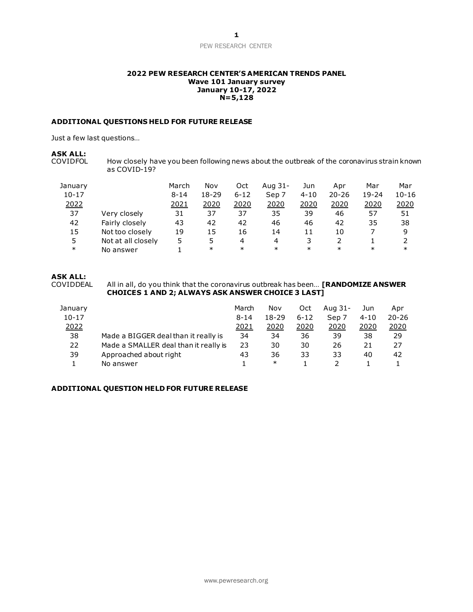### PEW RESEARCH CENTER

#### **2022 PEW RESEARCH CENTER'S AMERICAN TRENDS PANEL Wave 101 January survey January 10-17, 2022 N=5,128**

### **ADDITIONAL QUESTIONS HELD FOR FUTURE RELEASE**

Just a few last questions…

## **ASK ALL:**

How closely have you been following news about the outbreak of the coronavirus strain known as COVID-19?

| January   |                    | March    | Nov    | Oct      | Aug 31- | Jun      | Apr       | Mar       | Mar       |
|-----------|--------------------|----------|--------|----------|---------|----------|-----------|-----------|-----------|
| $10 - 17$ |                    | $8 - 14$ | 18-29  | $6 - 12$ | Sep 7   | $4 - 10$ | $20 - 26$ | $19 - 24$ | $10 - 16$ |
| 2022      |                    | 2021     | 2020   | 2020     | 2020    | 2020     | 2020      | 2020      | 2020      |
| 37        | Very closely       | 31       | 37     | 37       | 35      | 39       | 46        | 57        | 51        |
| 42        | Fairly closely     | 43       | 42     | 42       | 46      | 46       | 42        | 35        | 38        |
| 15        | Not too closely    | 19       | 15     | 16       | 14      | 11       | 10        |           | 9         |
| 5         | Not at all closely | 5        | 5      | 4        | 4       | 3        |           |           |           |
| $\ast$    | No answer          |          | $\ast$ | $\ast$   | $\ast$  | $\ast$   | $\ast$    | $\ast$    | $\ast$    |

# **ASK ALL:**

All in all, do you think that the coronavirus outbreak has been... **[RANDOMIZE ANSWER CHOICES 1 AND 2; ALWAYS ASK ANSWER CHOICE 3 LAST]**

| January   |                                       | March    | Nov       | Oct      | Aug 31- | Jun      | Apr          |
|-----------|---------------------------------------|----------|-----------|----------|---------|----------|--------------|
| $10 - 17$ |                                       | $8 - 14$ | $18 - 29$ | $6 - 12$ | Sep 7   | $4 - 10$ | $20 - 26$    |
| 2022      |                                       | 2021     | 2020      | 2020     | 2020    | 2020     | <u> 2020</u> |
| 38        | Made a BIGGER deal than it really is  | 34       | 34        | 36       | 39      | 38       | 29           |
| 22        | Made a SMALLER deal than it really is | 23       | 30        | 30       | 26      | 21       | 27           |
| 39        | Approached about right                | 43       | 36        | 33       | 33      | 40       | 42           |
|           | No answer                             |          | $\ast$    |          |         |          |              |

### **ADDITIONAL QUESTION HELD FOR FUTURE RELEASE**